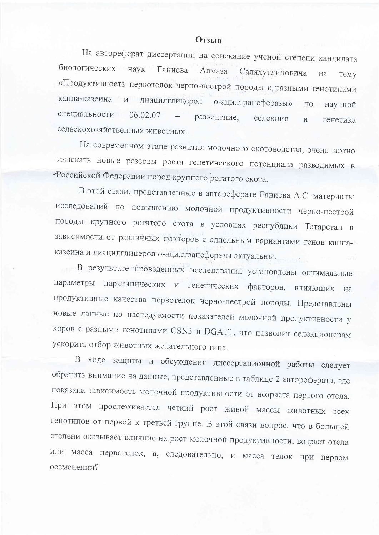## **Отзыв**

На автореферат диссертации на соискание ученой степени кандидата биологических наук Ганиева Алмаза Саляхутдиновича на Temy «Продуктивность первотелок черно-пестрой породы с разными генотипами каппа-казеина и диацилглицерол о-ацилтрансферазы»  $\overline{110}$ научной специальности  $06.02.07$ разведение. селекция  $\overline{M}$ генетика сельскохозяйственных животных.

На современном этапе развития молочного скотоводства, очень важно изыскать новые резервы роста генетического потенциала разводимых в «Российской Федерации пород крупного рогатого скота.

В этой связи, представленные в автореферате Ганиева А.С. материалы исследований по повышению молочной продуктивности черно-пестрой породы крупного рогатого скота в условиях республики Татарстан в зависимости от различных факторов с аллельным вариантами генов каппаказеина и диацилглицерол о-ацилтрансферазы актуальны.

в результате проведенных исследований установлены оптимальные параметры паратипических и генетических факторов, влияющих Ha продуктивные качества первотелок черно-пестрой породы. Представлены новые данные по наследуемости показателей молочной продуктивности у коров с разными генотипами CSN3 и DGAT1, что позволит селекционерам ускорить отбор животных желательного типа.

В ходе защиты и обсуждения диссертационной работы следует обратить внимание на данные, представленные в таблице 2 автореферата, где показана зависимость молочной продуктивности от возраста первого отела. При этом прослеживается четкий рост живой массы животных всех генотипов от первой к третьей группе. В этой связи вопрос, что в большей степени оказывает влияние на рост молочной продуктивности, возраст отела или масса первотелок, а, следовательно, и масса телок при первом осеменении?